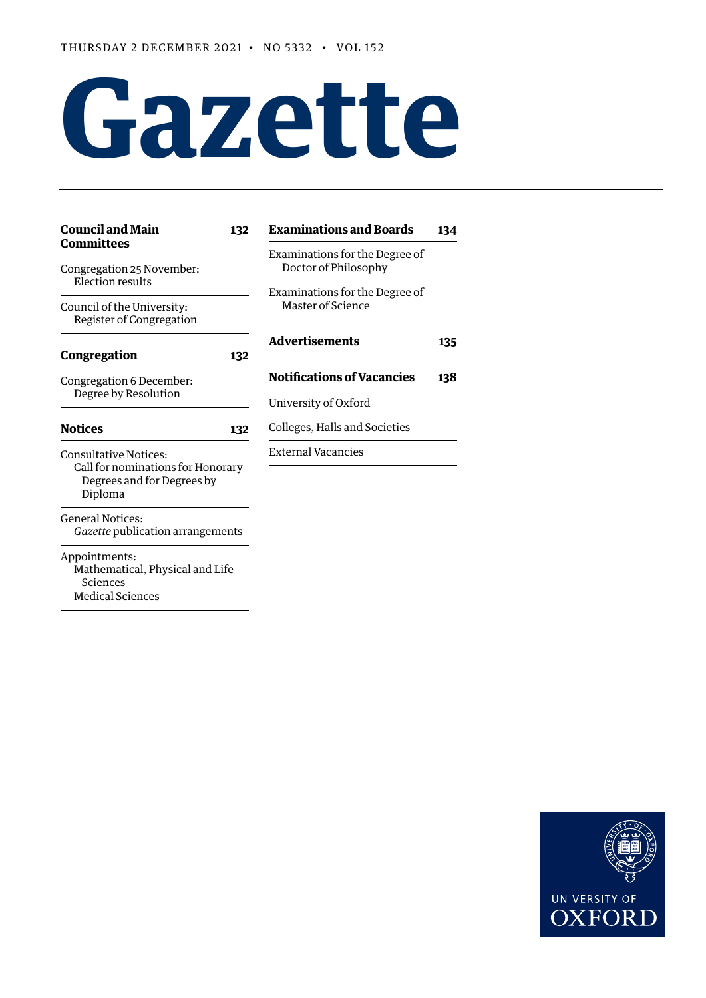# **Gazette**

| <b>Council and Main</b><br>132                                                                             | <b>Examinations and Boards</b>                             | 134 |
|------------------------------------------------------------------------------------------------------------|------------------------------------------------------------|-----|
| <b>Committees</b><br>Congregation 25 November:<br>Election results<br>Council of the University:           | Examinations for the Degree of<br>Doctor of Philosophy     |     |
|                                                                                                            | Examinations for the Degree of<br><b>Master of Science</b> |     |
| Register of Congregation<br>Congregation<br>132                                                            | <b>Advertisements</b>                                      | 135 |
| Congregation 6 December:<br>Degree by Resolution                                                           | <b>Notifications of Vacancies</b>                          | 138 |
|                                                                                                            | University of Oxford                                       |     |
| <b>Notices</b><br>132                                                                                      | Colleges, Halls and Societies                              |     |
| <b>Consultative Notices:</b><br>Call for nominations for Honorary<br>Degrees and for Degrees by<br>Diploma | <b>External Vacancies</b>                                  |     |
| <b>General Notices:</b><br>Gazette publication arrangements                                                |                                                            |     |
| Appointments:<br>Mathematical, Physical and Life<br>Sciences<br><b>Medical Sciences</b>                    |                                                            |     |

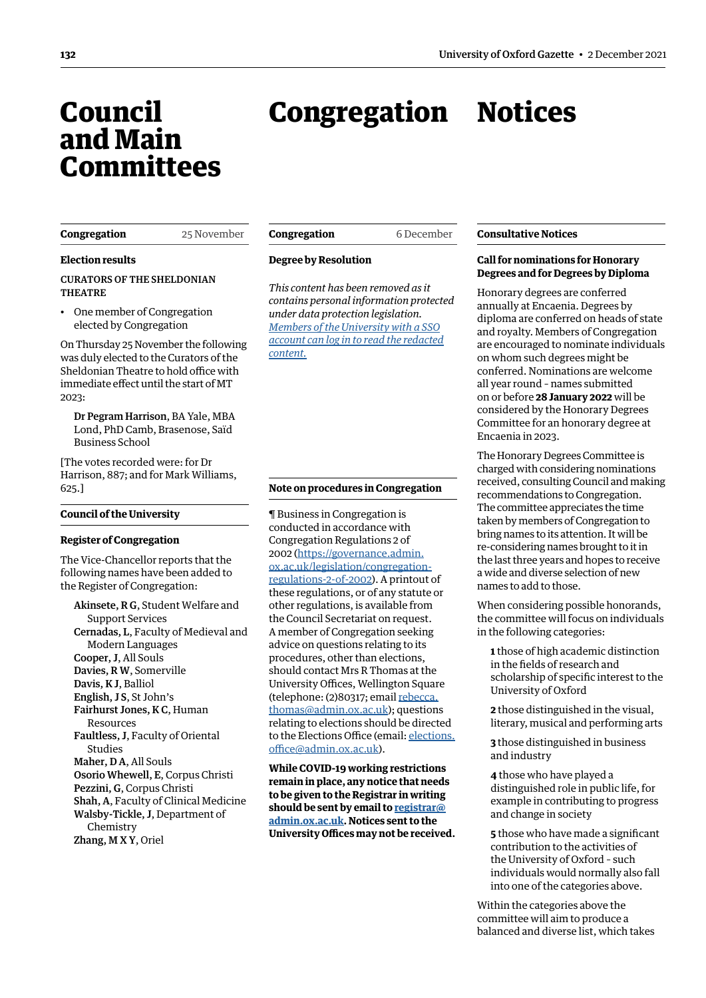## <span id="page-1-0"></span>Council and Main **Committees**

## Congregation Notices

#### **Congregation** 25 November

**Election results**

CURATORS OF THE SHELDONIAN THEATRE

• One member of Congregation elected by Congregation

On Thursday 25 November the following was duly elected to the Curators of the Sheldonian Theatre to hold office with immediate effect until the start of MT 2023:

Dr Pegram Harrison, BA Yale, MBA Lond, PhD Camb, Brasenose, Saïd Business School

[The votes recorded were: for Dr Harrison, 887; and for Mark Williams, 625.]

#### **Council of the University**

#### **Register of Congregation**

The Vice-Chancellor reports that the following names have been added to the Register of Congregation:

Akinsete, R G, Student Welfare and Support Services Cernadas, L, Faculty of Medieval and Modern Languages Cooper, J, All Souls Davies, R W, Somerville Davis, K J, Balliol English, J S, St John's Fairhurst Jones, K C, Human Resources Faultless, J, Faculty of Oriental Studies Maher, D A, All Souls Osorio Whewell, E, Corpus Christi Pezzini, G, Corpus Christi Shah, A, Faculty of Clinical Medicine Walsby-Tickle, J, Department of Chemistry Zhang, M X Y, Oriel

**Congregation** 6 December

#### **Degree by Resolution**

*This content has been removed as it contains personal information protected under data protection legislation. Members of the University with a SSO [account can log in to read the redacted](https://unioxfordnexus.sharepoint.com/sites/PublicAffairsDirectorate-Gazette/Online%20Gazette%20Issues/Gazette%202021-22/2%20December%202021%20-%20No%205332.pdf#page=2)  content.*

#### **Note on procedures in Congregation**

¶ Business in Congregation is conducted in accordance with Congregation Regulations 2 of 2002 ([https://governance.admin.](https://governance.admin.ox.ac.uk/legislation/congregation-regulations-2-of-2002) [ox.ac.uk/legislation/congregation](https://governance.admin.ox.ac.uk/legislation/congregation-regulations-2-of-2002)[regulations-2-of-2002\)](https://governance.admin.ox.ac.uk/legislation/congregation-regulations-2-of-2002). A printout of these regulations, or of any statute or other regulations, is available from the Council Secretariat on request. A member of Congregation seeking advice on questions relating to its procedures, other than elections, should contact Mrs R Thomas at the University Offices, Wellington Square (telephone: (2)80317; email [rebecca.](mailto:rebecca.thomas@admin.ox.ac.uk) [thomas@admin.ox.ac.uk](mailto:rebecca.thomas@admin.ox.ac.uk)); questions relating to elections should be directed to the Elections Office (email: [elections.](mailto:elections.office@admin.ox.ac.uk) [office@admin.ox.ac.uk](mailto:elections.office@admin.ox.ac.uk)).

**While COVID-19 working restrictions remain in place, any notice that needs to be given to the Registrar in writing should be sent by email to [registrar@](mailto:registrar%40admin.ox.ac.uk?subject=) [admin.ox.ac.uk.](mailto:registrar%40admin.ox.ac.uk?subject=) Notices sent to the University Offices may not be received.**

#### **Consultative Notices**

#### **Call for nominations for Honorary Degrees and for Degrees by Diploma**

Honorary degrees are conferred annually at Encaenia. Degrees by diploma are conferred on heads of state and royalty. Members of Congregation are encouraged to nominate individuals on whom such degrees might be conferred. Nominations are welcome all year round – names submitted on or before **28 January 2022** will be considered by the Honorary Degrees Committee for an honorary degree at Encaenia in 2023.

The Honorary Degrees Committee is charged with considering nominations received, consulting Council and making recommendations to Congregation. The committee appreciates the time taken by members of Congregation to bring names to its attention. It will be re-considering names brought to it in the last three years and hopes to receive a wide and diverse selection of new names to add to those.

When considering possible honorands, the committee will focus on individuals in the following categories:

**1** those of high academic distinction in the fields of research and scholarship of specific interest to the University of Oxford

**2** those distinguished in the visual, literary, musical and performing arts

**3** those distinguished in business and industry

**4** those who have played a distinguished role in public life, for example in contributing to progress and change in society

**5** those who have made a significant contribution to the activities of the University of Oxford – such individuals would normally also fall into one of the categories above.

Within the categories above the committee will aim to produce a balanced and diverse list, which takes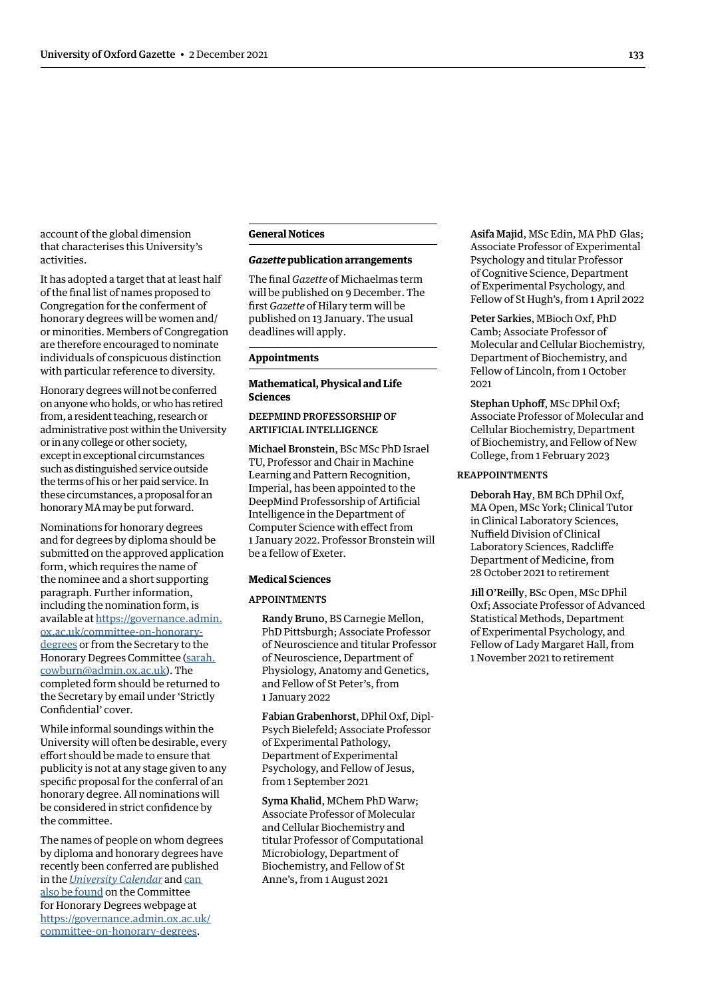<span id="page-2-0"></span>account of the global dimension that characterises this University's activities.

It has adopted a target that at least half of the final list of names proposed to Congregation for the conferment of honorary degrees will be women and/ or minorities. Members of Congregation are therefore encouraged to nominate individuals of conspicuous distinction with particular reference to diversity.

Honorary degrees will not be conferred on anyone who holds, or who has retired from, a resident teaching, research or administrative post within the University or in any college or other society, except in exceptional circumstances such as distinguished service outside the terms of his or her paid service. In these circumstances, a proposal for an honorary MA may be put forward.

Nominations for honorary degrees and for degrees by diploma should be submitted on the approved application form, which requires the name of the nominee and a short supporting paragraph. Further information, including the nomination form, is available at [https://governance.admin.](https://governance.admin.ox.ac.uk/committee-on-honorary-degrees) [ox.ac.uk/committee-on-honorary](https://governance.admin.ox.ac.uk/committee-on-honorary-degrees)[degrees](https://governance.admin.ox.ac.uk/committee-on-honorary-degrees) or from the Secretary to the Honorary Degrees Committee [\(sarah.](mailto:sarah.cowburn@admin.ox.ac.uk) [cowburn@admin.ox.ac.uk](mailto:sarah.cowburn@admin.ox.ac.uk)). The completed form should be returned to the Secretary by email under 'Strictly Confidential' cover.

While informal soundings within the University will often be desirable, every effort should be made to ensure that publicity is not at any stage given to any specific proposal for the conferral of an honorary degree. All nominations will be considered in strict confidence by the committee.

The names of people on whom degrees by diploma and honorary degrees have recently been conferred are published in the *[University Calendar](https://gazette.web.ox.ac.uk/university-calendar)* and [can](https://sharepoint.nexus.ox.ac.uk/sites/uasmosaic/governance/Documents/Conferred since 1989 -  Honorary degrees and degrees by diploma_April 2021.pdf)  [also be found](https://sharepoint.nexus.ox.ac.uk/sites/uasmosaic/governance/Documents/Conferred since 1989 -  Honorary degrees and degrees by diploma_April 2021.pdf) on the Committee for Honorary Degrees webpage at [https://governance.admin.ox.ac.uk/](https://governance.admin.ox.ac.uk/committee-on-honorary-degrees) [committee-on-honorary-degrees](https://governance.admin.ox.ac.uk/committee-on-honorary-degrees).

#### **General Notices**

#### *Gazette* **publication arrangements**

The final *Gazette* of Michaelmas term will be published on 9 December. The first *Gazette* of Hilary term will be published on 13 January. The usual deadlines will apply.

#### **Appointments**

#### **Mathematical, Physical and Life Sciences**

#### DEEPMIND PROFESSORSHIP OF ARTIFICIAL INTELLIGENCE

Michael Bronstein, BSc MSc PhD Israel TU, Professor and Chair in Machine Learning and Pattern Recognition, Imperial, has been appointed to the DeepMind Professorship of Artificial Intelligence in the Department of Computer Science with effect from 1 January 2022. Professor Bronstein will be a fellow of Exeter.

#### **Medical Sciences**

#### APPOINTMENTS

Randy Bruno, BS Carnegie Mellon, PhD Pittsburgh; Associate Professor of Neuroscience and titular Professor of Neuroscience, Department of Physiology, Anatomy and Genetics, and Fellow of St Peter's, from 1 January 2022

Fabian Grabenhorst, DPhil Oxf, Dipl-Psych Bielefeld; Associate Professor of Experimental Pathology, Department of Experimental Psychology, and Fellow of Jesus, from 1 September 2021

Syma Khalid, MChem PhD Warw; Associate Professor of Molecular and Cellular Biochemistry and titular Professor of Computational Microbiology, Department of Biochemistry, and Fellow of St Anne's, from 1 August 2021

Asifa Majid, MSc Edin, MA PhD Glas: Associate Professor of Experimental Psychology and titular Professor of Cognitive Science, Department of Experimental Psychology, and Fellow of St Hugh's, from 1 April 2022

Peter Sarkies, MBioch Oxf, PhD Camb; Associate Professor of Molecular and Cellular Biochemistry, Department of Biochemistry, and Fellow of Lincoln, from 1 October 2021

Stephan Uphoff, MSc DPhil Oxf; Associate Professor of Molecular and Cellular Biochemistry, Department of Biochemistry, and Fellow of New College, from 1 February 2023

#### REAPPOINTMENTS

Deborah Hay, BM BCh DPhil Oxf, MA Open, MSc York; Clinical Tutor in Clinical Laboratory Sciences, Nuffield Division of Clinical Laboratory Sciences, Radcliffe Department of Medicine, from 28 October 2021 to retirement

Jill O'Reilly, BSc Open, MSc DPhil Oxf; Associate Professor of Advanced Statistical Methods, Department of Experimental Psychology, and Fellow of Lady Margaret Hall, from 1 November 2021 to retirement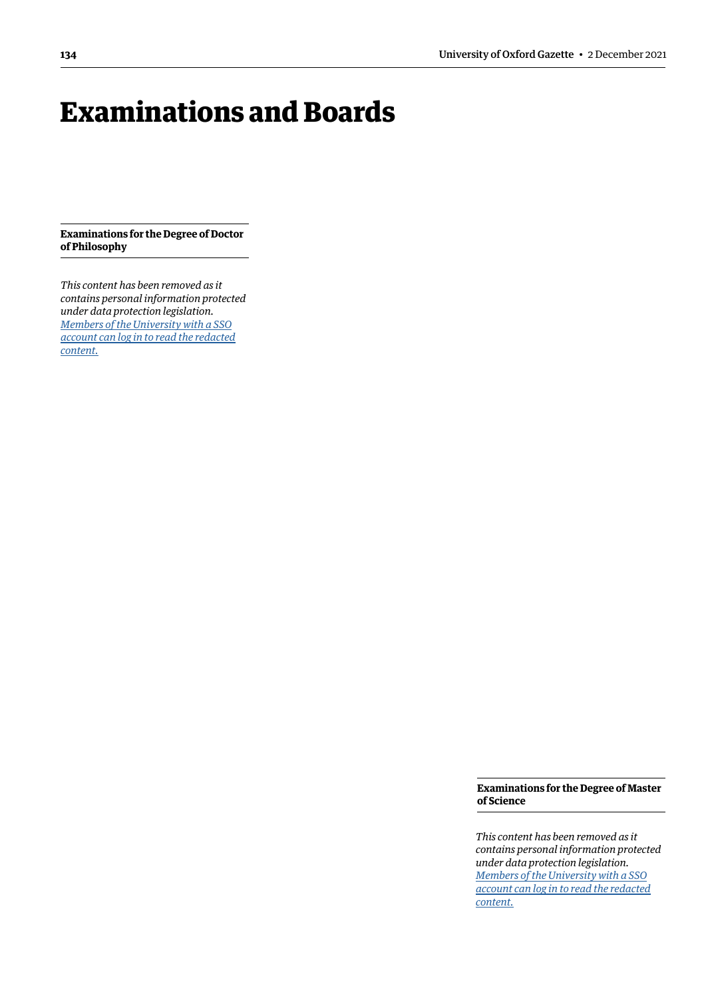## <span id="page-3-0"></span>Examinations and Boards

**Examinations for the Degree of Doctor of Philosophy**

*This content has been removed as it contains personal information protected under data protection legislation. Members of the University with a SSO [account can log in to read the redacted](https://unioxfordnexus.sharepoint.com/sites/PublicAffairsDirectorate-Gazette/Online%20Gazette%20Issues/Gazette%202021-22/2%20December%202021%20-%20No%205332.pdf#page=4)  content.*

> **Examinations for the Degree of Master of Science**

> *This content has been removed as it contains personal information protected under data protection legislation. Members of the University with a SSO [account can log in to read the redacted](https://unioxfordnexus.sharepoint.com/sites/PublicAffairsDirectorate-Gazette/Online%20Gazette%20Issues/Gazette%202021-22/2%20December%202021%20-%20No%205332.pdf#page=4)  content.*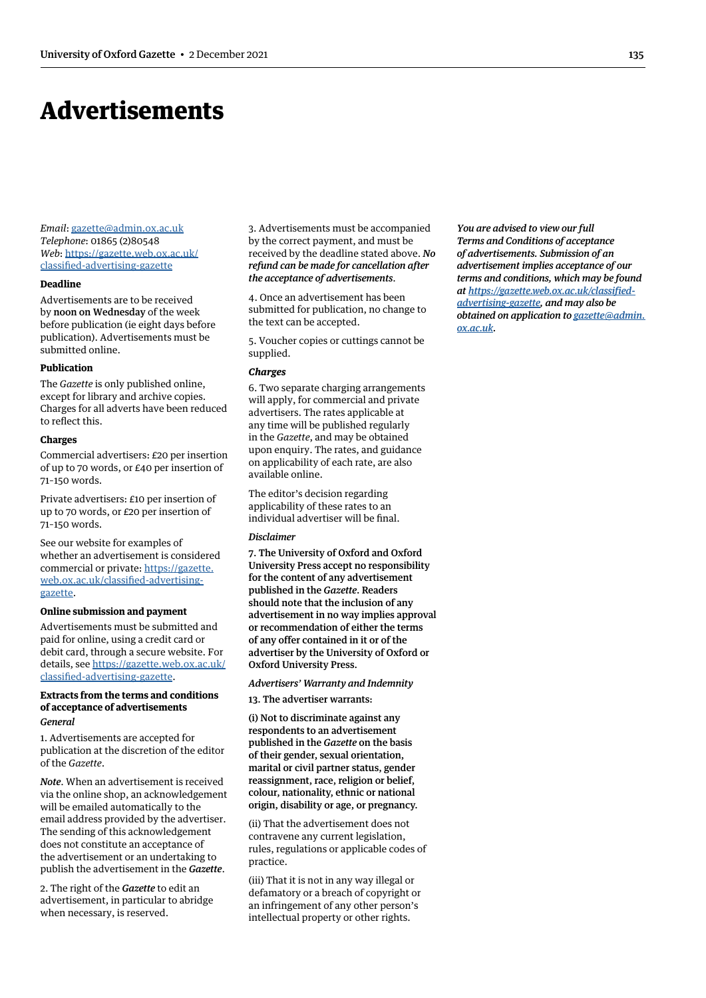## <span id="page-4-0"></span>Advertisements

*Email*: [gazette@admin.ox.ac.uk](mailto:gazette@admin.ox.ac.uk) *Telephone*: 01865 (2)80548 *Web*: https:/[/gazette.web.ox.ac.uk/](https://gazette.web.ox.ac.uk/classified-advertising-gazette) [classified-advertising-](https://gazette.web.ox.ac.uk/classified-advertising-gazette)gazette

#### **Deadline**

Advertisements are to be received by noon on Wednesday of the week before publication (ie eight days before publication). Advertisements must be submitted online.

#### **Publication**

The *Gazette* is only published online, except for library and archive copies. Charges for all adverts have been reduced to reflect this.

#### **Charges**

Commercial advertisers: £20 per insertion of up to 70 words, or £40 per insertion of 71–150 words.

Private advertisers: £10 per insertion of up to 70 words, or £20 per insertion of 71–150 words.

See our website for examples of whether an advertisement is considered commercial or private: https:/[/gazette.](https://gazette.web.ox.ac.uk/classified-advertising-gazette) [web.ox.ac.uk/classified-advertising](https://gazette.web.ox.ac.uk/classified-advertising-gazette)gazette.

#### **Online submission and payment**

Advertisements must be submitted and paid for online, using a credit card or debit card, through a secure website. For details, see https:/[/gazette.web.ox.ac.uk/](https://gazette.web.ox.ac.uk/classified-advertising-gazette) [classified-advertising-](https://gazette.web.ox.ac.uk/classified-advertising-gazette)gazette.

#### **Extracts from the terms and conditions of acceptance of advertisements** *General*

1. Advertisements are accepted for publication at the discretion of the editor of the *Gazette*.

*Note*. When an advertisement is received via the online shop, an acknowledgement will be emailed automatically to the email address provided by the advertiser. The sending of this acknowledgement does not constitute an acceptance of the advertisement or an undertaking to publish the advertisement in the *Gazette*.

2. The right of the *Gazette* to edit an advertisement, in particular to abridge when necessary, is reserved.

3. Advertisements must be accompanied by the correct payment, and must be received by the deadline stated above. *No refund can be made for cancellation after the acceptance of advertisements*.

4. Once an advertisement has been submitted for publication, no change to the text can be accepted.

5. Voucher copies or cuttings cannot be supplied.

#### *Charges*

6. Two separate charging arrangements will apply, for commercial and private advertisers. The rates applicable at any time will be published regularly in the *Gazette*, and may be obtained upon enquiry. The rates, and guidance on applicability of each rate, are also available online.

The editor's decision regarding applicability of these rates to an individual advertiser will be final.

#### *Disclaimer*

7. The University of Oxford and Oxford University Press accept no responsibility for the content of any advertisement published in the *Gazette*. Readers should note that the inclusion of any advertisement in no way implies approval or recommendation of either the terms of any offer contained in it or of the advertiser by the University of Oxford or Oxford University Press.

#### *Advertisers' Warranty and Indemnity*

13. The advertiser warrants:

(i) Not to discriminate against any respondents to an advertisement published in the *Gazette* on the basis of their gender, sexual orientation, marital or civil partner status, gender reassignment, race, religion or belief, colour, nationality, ethnic or national origin, disability or age, or pregnancy.

(ii) That the advertisement does not contravene any current legislation, rules, regulations or applicable codes of practice.

(iii) That it is not in any way illegal or defamatory or a breach of copyright or an infringement of any other person's intellectual property or other rights.

*You are advised to view our full Terms and Conditions of acceptance of advertisements. Submission of an advertisement implies acceptance of our terms and conditions, which may be found at [https://gazette.web.ox.ac.uk/classified](https://gazette.web.ox.ac.uk/classified-advertising-gazette)[advertising-gazette,](https://gazette.web.ox.ac.uk/classified-advertising-gazette) and may also be obtained on application to [gazette@admin.](mailto:gazette@admin.ox.ac.uk) [ox.ac.uk](mailto:gazette@admin.ox.ac.uk).*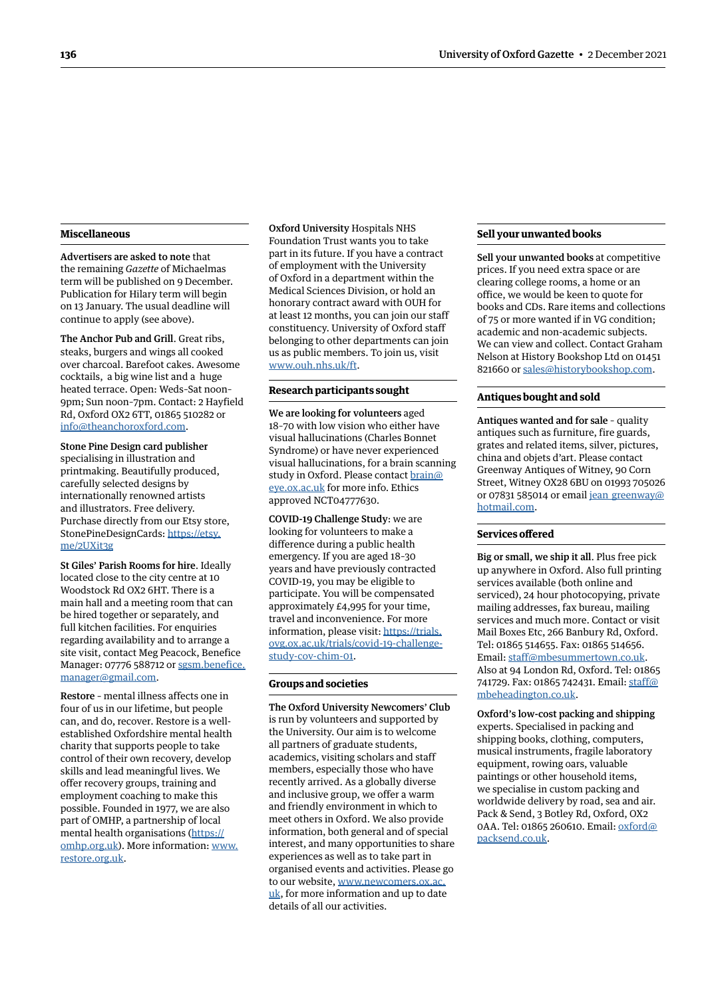#### **Miscellaneous**

Advertisers are asked to note that the remaining *Gazette* of Michaelmas term will be published on 9 December. Publication for Hilary term will begin on 13 January. The usual deadline will continue to apply (see above).

The Anchor Pub and Grill. Great ribs, steaks, burgers and wings all cooked over charcoal. Barefoot cakes. Awesome cocktails, a big wine list and a huge heated terrace. Open: Weds–Sat noon– 9pm; Sun noon–7pm. Contact: 2 Hayfield Rd, Oxford OX2 6TT, 01865 510282 or [info@theanchoroxford.com](mailto:info@theanchoroxford.com).

Stone Pine Design card publisher specialising in illustration and printmaking. Beautifully produced, carefully selected designs by internationally renowned artists and illustrators. Free delivery. Purchase directly from our Etsy store, StonePineDesignCards: [https://etsy.](https://etsy.me/2UXit3g) [me/2UXit3g](https://etsy.me/2UXit3g)

St Giles' Parish Rooms for hire. Ideally located close to the city centre at 10 Woodstock Rd OX2 6HT. There is a main hall and a meeting room that can be hired together or separately, and full kitchen facilities. For enquiries regarding availability and to arrange a site visit, contact Meg Peacock, Benefice Manager: 07776 588712 or [sgsm.benefice.](mailto:sgsm.benefice.manager@gmail.com) [manager@gmail.com.](mailto:sgsm.benefice.manager@gmail.com)

Restore – mental illness affects one in four of us in our lifetime, but people can, and do, recover. Restore is a wellestablished Oxfordshire mental health charity that supports people to take control of their own recovery, develop skills and lead meaningful lives. We offer recovery groups, training and employment coaching to make this possible. Founded in 1977, we are also part of OMHP, a partnership of local mental health organisations [\(https://](https://omhp.org.uk) [omhp.org.uk\)](https://omhp.org.uk). More information: [www.](http://www.restore.org.uk) [restore.org.uk](http://www.restore.org.uk).

Oxford University Hospitals NHS Foundation Trust wants you to take part in its future. If you have a contract of employment with the University of Oxford in a department within the Medical Sciences Division, or hold an honorary contract award with OUH for at least 12 months, you can join our staff constituency. University of Oxford staff belonging to other departments can join us as public members. To join us, visit [www.ouh.nhs.uk/ft](http://www.ouh.nhs.uk/ft).

#### **Research participants sought**

We are looking for volunteers aged 18–70 with low vision who either have visual hallucinations (Charles Bonnet Syndrome) or have never experienced visual hallucinations, for a brain scanning study in Oxford. Please contact [brain@](mailto:brain%40eye.ox.ac.uk?subject=) [eye.ox.ac.uk](mailto:brain%40eye.ox.ac.uk?subject=) for more info. Ethics approved NCT04777630.

COVID-19 Challenge Study: we are looking for volunteers to make a difference during a public health emergency. If you are aged 18–30 years and have previously contracted COVID-19, you may be eligible to participate. You will be compensated approximately £4,995 for your time, travel and inconvenience. For more information, please visit: [https://trials.](https://trials.ovg.ox.ac.uk/trials/covid-19-challenge-study-cov-chim-01) [ovg.ox.ac.uk/trials/covid-19-challenge](https://trials.ovg.ox.ac.uk/trials/covid-19-challenge-study-cov-chim-01)[study-cov-chim-01](https://trials.ovg.ox.ac.uk/trials/covid-19-challenge-study-cov-chim-01).

#### **Groups and societies**

The Oxford University Newcomers' Club is run by volunteers and supported by the University. Our aim is to welcome all partners of graduate students, academics, visiting scholars and staff members, especially those who have recently arrived. As a globally diverse and inclusive group, we offer a warm and friendly environment in which to meet others in Oxford. We also provide information, both general and of special interest, and many opportunities to share experiences as well as to take part in organised events and activities. Please go to our website, [www.newcomers.ox.ac.](http://www.newcomers.ox.ac.uk) [uk](http://www.newcomers.ox.ac.uk), for more information and up to date details of all our activities.

#### **Sell your unwanted books**

Sell your unwanted books at competitive prices. If you need extra space or are clearing college rooms, a home or an office, we would be keen to quote for books and CDs. Rare items and collections of 75 or more wanted if in VG condition; academic and non-academic subjects. We can view and collect. Contact Graham Nelson at History Bookshop Ltd on 01451 821660 or [sales@historybookshop.com](mailto:sales@historybookshop.com).

#### **Antiques bought and sold**

Antiques wanted and for sale – quality antiques such as furniture, fire guards, grates and related items, silver, pictures, china and objets d'art. Please contact Greenway Antiques of Witney, 90 Corn Street, Witney OX28 6BU on 01993 705026 or 07831 585014 or email [jean\\_greenway@](mailto:jean_greenway@hotmail.com) [hotmail.com.](mailto:jean_greenway@hotmail.com)

#### **Services offered**

Big or small, we ship it all. Plus free pick up anywhere in Oxford. Also full printing services available (both online and serviced), 24 hour photocopying, private mailing addresses, fax bureau, mailing services and much more. Contact or visit Mail Boxes Etc, 266 Banbury Rd, Oxford. Tel: 01865 514655. Fax: 01865 514656. Email: [staff@mbesummertown.co.uk.](mailto:staff@mbesummertown.co.uk) Also at 94 London Rd, Oxford. Tel: 01865 741729. Fax: 01865 742431. Email: [staff@](mailto:staff@mbeheadington.co.uk) [mbeheadington.co.uk](mailto:staff@mbeheadington.co.uk).

Oxford's low-cost packing and shipping experts. Specialised in packing and shipping books, clothing, computers, musical instruments, fragile laboratory equipment, rowing oars, valuable paintings or other household items, we specialise in custom packing and worldwide delivery by road, sea and air. Pack & Send, 3 Botley Rd, Oxford, OX2 0AA. Tel: 01865 260610. Email: [oxford@](mailto:oxford@packsend.co.uk) [packsend.co.uk](mailto:oxford@packsend.co.uk).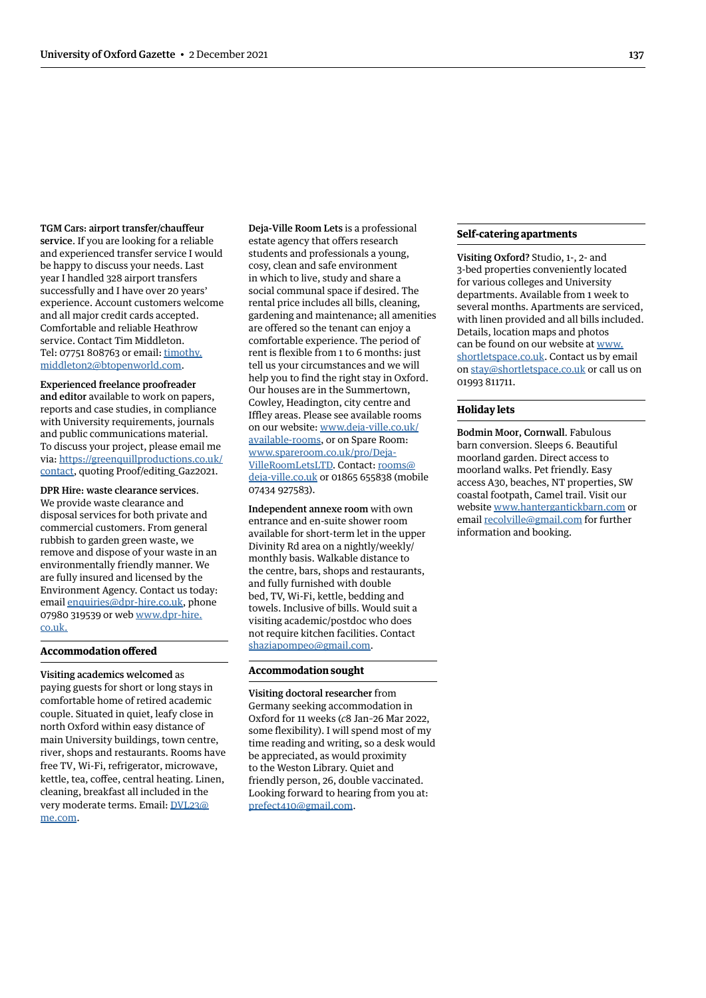TGM Cars: airport transfer/chauffeur service. If you are looking for a reliable and experienced transfer service I would be happy to discuss your needs. Last year I handled 328 airport transfers successfully and I have over 20 years' experience. Account customers welcome and all major credit cards accepted. Comfortable and reliable Heathrow service. Contact Tim Middleton. Tel: 07751 808763 or email: [timothy.](mailto:timothy.middleton2@btopenworld.com) [middleton2@btopenworld.com.](mailto:timothy.middleton2@btopenworld.com)

### Experienced freelance proofreader

and editor available to work on papers, reports and case studies, in compliance with University requirements, journals and public communications material. To discuss your project, please email me via: [https://greenquillproductions.co.uk/](https://greenquillproductions.co.uk/contact) [contact](https://greenquillproductions.co.uk/contact), quoting Proof/editing\_Gaz2021.

#### DPR Hire: waste clearance services.

We provide waste clearance and disposal services for both private and commercial customers. From general rubbish to garden green waste, we remove and dispose of your waste in an environmentally friendly manner. We are fully insured and licensed by the Environment Agency. Contact us today: email [enquiries@dpr-hire.co.uk](mailto:enquiries@dpr-hire.co.uk), phone 07980 319539 or web [www.dpr-hire.](http://www.dpr-hire.co.uk) [co.uk](http://www.dpr-hire.co.uk).

#### **Accommodation offered**

Visiting academics welcomed as paying guests for short or long stays in comfortable home of retired academic couple. Situated in quiet, leafy close in north Oxford within easy distance of main University buildings, town centre, river, shops and restaurants. Rooms have free TV, Wi-Fi, refrigerator, microwave, kettle, tea, coffee, central heating. Linen, cleaning, breakfast all included in the very moderate terms. Email: [DVL23@](mailto:DVL23@me.com) [me.com.](mailto:DVL23@me.com)

Deja-Ville Room Lets is a professional estate agency that offers research students and professionals a young, cosy, clean and safe environment in which to live, study and share a social communal space if desired. The rental price includes all bills, cleaning, gardening and maintenance; all amenities are offered so the tenant can enjoy a comfortable experience. The period of rent is flexible from 1 to 6 months: just tell us your circumstances and we will help you to find the right stay in Oxford. Our houses are in the Summertown, Cowley, Headington, city centre and Iffley areas. Please see available rooms on our website: [www.deja-ville.co.uk/](http://www.deja-ville.co.uk/available-rooms) [available-rooms,](http://www.deja-ville.co.uk/available-rooms) or on Spare Room: [www.spareroom.co.uk/pro/Deja-](http://www.spareroom.co.uk/pro/Deja-VilleRoomLetsLTD)[VilleRoomLetsLTD.](http://www.spareroom.co.uk/pro/Deja-VilleRoomLetsLTD) Contact: [rooms@](mailto:rooms@deja-ville.co.uk) [deja-ville.co.uk](mailto:rooms@deja-ville.co.uk) or 01865 655838 (mobile 07434 927583).

Independent annexe room with own entrance and en-suite shower room available for short-term let in the upper Divinity Rd area on a nightly/weekly/ monthly basis. Walkable distance to the centre, bars, shops and restaurants, and fully furnished with double bed, TV, Wi-Fi, kettle, bedding and towels. Inclusive of bills. Would suit a visiting academic/postdoc who does not require kitchen facilities. Contact shaziapompeo@gmail.com.

#### **Accommodation sought**

Visiting doctoral researcher from Germany seeking accommodation in Oxford for 11 weeks (*c*8 Jan–26 Mar 2022, some flexibility). I will spend most of my time reading and writing, so a desk would be appreciated, as would proximity to the Weston Library. Quiet and friendly person, 26, double vaccinated. Looking forward to hearing from you at: [prefect410@gmail.com.](mailto:prefect410%40gmail.com?subject=)

#### **Self-catering apartments**

Visiting Oxford? Studio, 1-, 2- and 3-bed properties conveniently located for various colleges and University departments. Available from 1 week to several months. Apartments are serviced, with linen provided and all bills included. Details, location maps and photos can be found on our website at [www.](http://www.shortletspace.co.uk) [shortletspace.co.uk](http://www.shortletspace.co.uk). Contact us by email on [stay@shortletspace.co.uk](mailto:stay@shortletspace.co.uk) or call us on 01993 811711.

#### **Holiday lets**

Bodmin Moor, Cornwall. Fabulous barn conversion. Sleeps 6. Beautiful moorland garden. Direct access to moorland walks. Pet friendly. Easy access A30, beaches, NT properties, SW coastal footpath, Camel trail. Visit our website [www.hantergantickbarn.com](http://www.hantergantickbarn.com) or email [recolville@gmail.com](mailto:recolville%40gmail.com?subject=) for further information and booking.